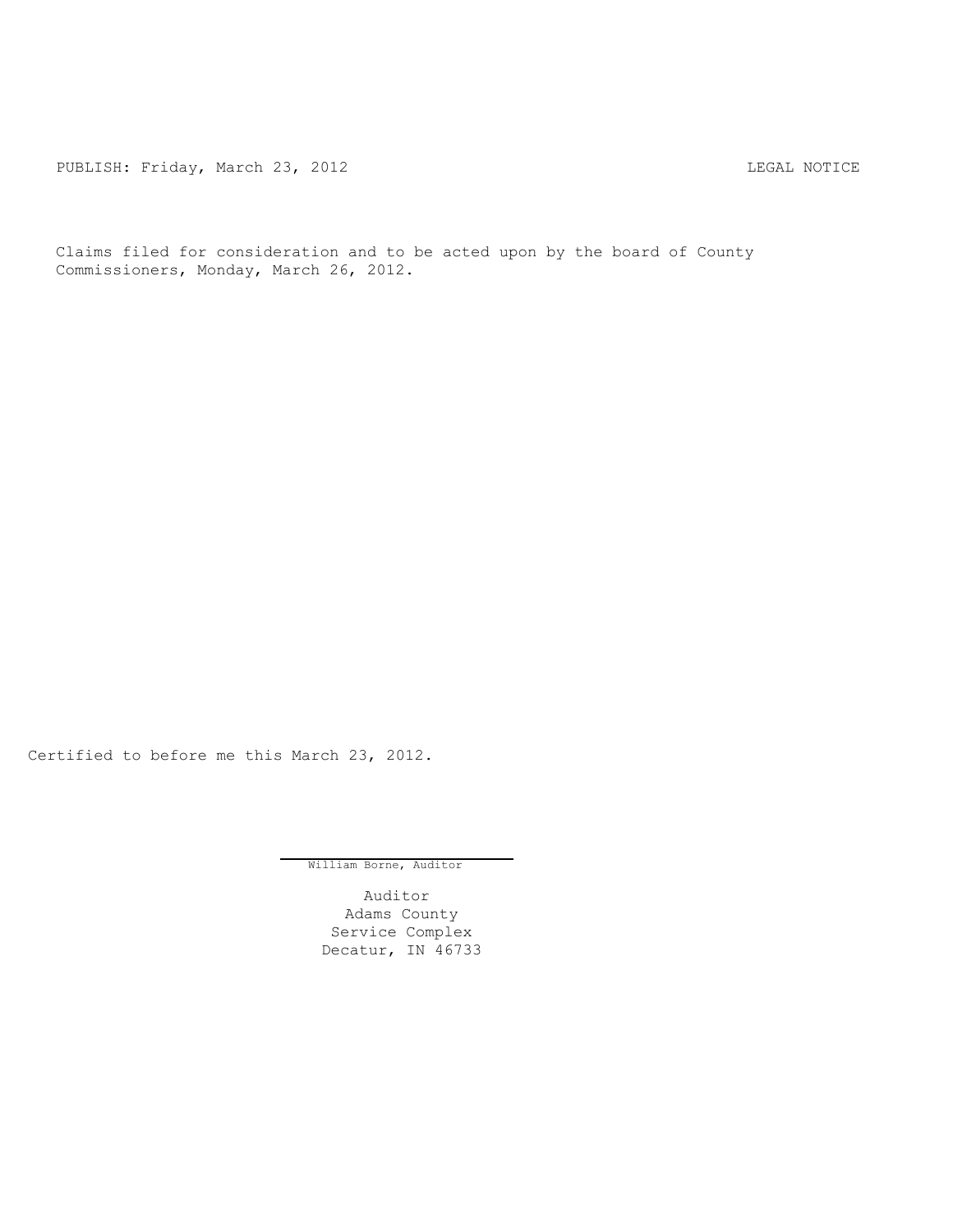PUBLISH: Friday, March 23, 2012 CHANGER AND THE REGAL NOTICE

Claims filed for consideration and to be acted upon by the board of County Commissioners, Monday, March 26, 2012.

Certified to before me this March 23, 2012.

William Borne, Auditor

Auditor Adams County Service Complex Decatur, IN 46733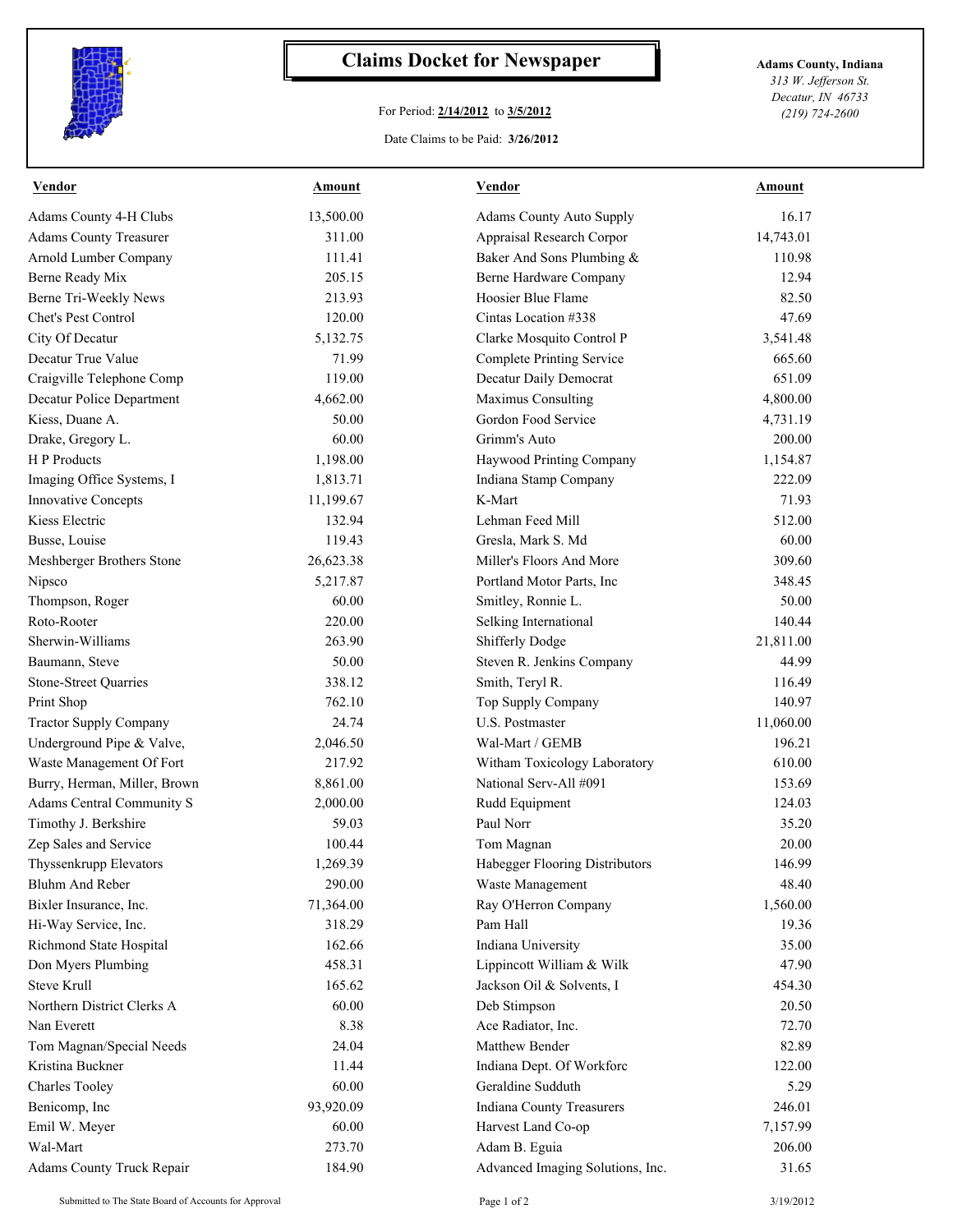

## **Claims Docket for Newspaper Adams County, Indiana**

## For Period: **2/14/2012** to **3/5/2012**

*313 W. Jefferson St. Decatur, IN 46733 (219) 724-2600*

Date Claims to be Paid: **3/26/2012**

| <b>Vendor</b>                 | <b>Amount</b> | <b>Vendor</b>                    | <u>Amount</u> |
|-------------------------------|---------------|----------------------------------|---------------|
| Adams County 4-H Clubs        | 13,500.00     | <b>Adams County Auto Supply</b>  | 16.17         |
| <b>Adams County Treasurer</b> | 311.00        | Appraisal Research Corpor        | 14,743.01     |
| Arnold Lumber Company         | 111.41        | Baker And Sons Plumbing &        | 110.98        |
| Berne Ready Mix               | 205.15        | Berne Hardware Company           | 12.94         |
| Berne Tri-Weekly News         | 213.93        | Hoosier Blue Flame               | 82.50         |
| Chet's Pest Control           | 120.00        | Cintas Location #338             | 47.69         |
| City Of Decatur               | 5,132.75      | Clarke Mosquito Control P        | 3,541.48      |
| Decatur True Value            | 71.99         | <b>Complete Printing Service</b> | 665.60        |
| Craigville Telephone Comp     | 119.00        | Decatur Daily Democrat           | 651.09        |
| Decatur Police Department     | 4,662.00      | Maximus Consulting               | 4,800.00      |
| Kiess, Duane A.               | 50.00         | Gordon Food Service              | 4,731.19      |
| Drake, Gregory L.             | 60.00         | Grimm's Auto                     | 200.00        |
| H P Products                  | 1,198.00      | Haywood Printing Company         | 1,154.87      |
| Imaging Office Systems, I     | 1,813.71      | Indiana Stamp Company            | 222.09        |
| <b>Innovative Concepts</b>    | 11,199.67     | K-Mart                           | 71.93         |
| Kiess Electric                | 132.94        | Lehman Feed Mill                 | 512.00        |
| Busse, Louise                 | 119.43        | Gresla, Mark S. Md               | 60.00         |
| Meshberger Brothers Stone     | 26,623.38     | Miller's Floors And More         | 309.60        |
| Nipsco                        | 5,217.87      | Portland Motor Parts, Inc        | 348.45        |
| Thompson, Roger               | 60.00         | Smitley, Ronnie L.               | 50.00         |
| Roto-Rooter                   | 220.00        | Selking International            | 140.44        |
| Sherwin-Williams              | 263.90        | <b>Shifferly Dodge</b>           | 21,811.00     |
| Baumann, Steve                | 50.00         | Steven R. Jenkins Company        | 44.99         |
| <b>Stone-Street Quarries</b>  | 338.12        | Smith, Teryl R.                  | 116.49        |
| Print Shop                    | 762.10        | Top Supply Company               | 140.97        |
| <b>Tractor Supply Company</b> | 24.74         | U.S. Postmaster                  | 11,060.00     |
| Underground Pipe & Valve,     | 2,046.50      | Wal-Mart / GEMB                  | 196.21        |
| Waste Management Of Fort      | 217.92        | Witham Toxicology Laboratory     | 610.00        |
| Burry, Herman, Miller, Brown  | 8,861.00      | National Serv-All #091           | 153.69        |
| Adams Central Community S     | 2,000.00      | Rudd Equipment                   | 124.03        |
| Timothy J. Berkshire          | 59.03         | Paul Norr                        | 35.20         |
| Zep Sales and Service         | 100.44        | Tom Magnan                       | 20.00         |
| Thyssenkrupp Elevators        | 1,269.39      | Habegger Flooring Distributors   | 146.99        |
| Bluhm And Reber               | 290.00        | Waste Management                 | 48.40         |
| Bixler Insurance, Inc.        | 71,364.00     | Ray O'Herron Company             | 1,560.00      |
| Hi-Way Service, Inc.          | 318.29        | Pam Hall                         | 19.36         |
| Richmond State Hospital       | 162.66        | Indiana University               | 35.00         |
| Don Myers Plumbing            | 458.31        | Lippincott William & Wilk        | 47.90         |
| <b>Steve Krull</b>            | 165.62        | Jackson Oil & Solvents, I        | 454.30        |
| Northern District Clerks A    | 60.00         | Deb Stimpson                     | 20.50         |
| Nan Everett                   | 8.38          | Ace Radiator, Inc.               | 72.70         |
| Tom Magnan/Special Needs      | 24.04         | Matthew Bender                   | 82.89         |
| Kristina Buckner              | 11.44         | Indiana Dept. Of Workforc        | 122.00        |
| <b>Charles Tooley</b>         | 60.00         | Geraldine Sudduth                | 5.29          |
| Benicomp, Inc                 | 93,920.09     | Indiana County Treasurers        | 246.01        |
| Emil W. Meyer                 | 60.00         | Harvest Land Co-op               | 7,157.99      |
| Wal-Mart                      | 273.70        | Adam B. Eguia                    | 206.00        |
| Adams County Truck Repair     | 184.90        | Advanced Imaging Solutions, Inc. | 31.65         |